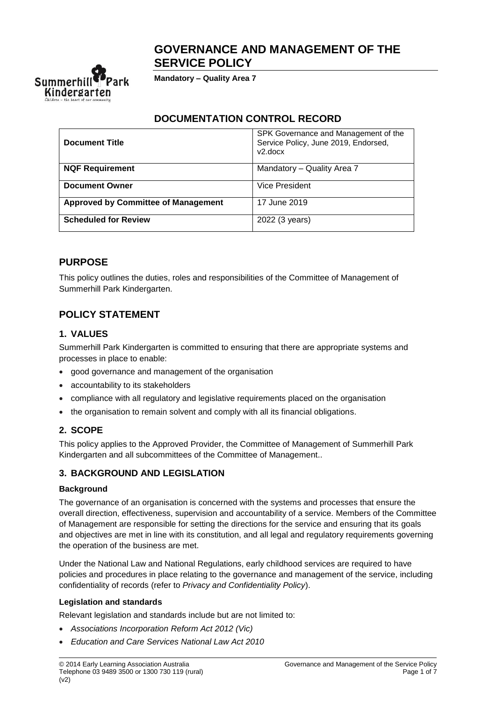# **GOVERNANCE AND MANAGEMENT OF THE SERVICE POLICY**



**Mandatory – Quality Area 7**

### **DOCUMENTATION CONTROL RECORD**

| <b>Document Title</b>                      | SPK Governance and Management of the<br>Service Policy, June 2019, Endorsed,<br>v2.docx |
|--------------------------------------------|-----------------------------------------------------------------------------------------|
| <b>NQF Requirement</b>                     | Mandatory - Quality Area 7                                                              |
| <b>Document Owner</b>                      | Vice President                                                                          |
| <b>Approved by Committee of Management</b> | 17 June 2019                                                                            |
| <b>Scheduled for Review</b>                | 2022 (3 years)                                                                          |

### **PURPOSE**

This policy outlines the duties, roles and responsibilities of the Committee of Management of Summerhill Park Kindergarten.

# **POLICY STATEMENT**

### **1. VALUES**

Summerhill Park Kindergarten is committed to ensuring that there are appropriate systems and processes in place to enable:

- good governance and management of the organisation
- accountability to its stakeholders
- compliance with all regulatory and legislative requirements placed on the organisation
- the organisation to remain solvent and comply with all its financial obligations.

### **2. SCOPE**

This policy applies to the Approved Provider, the Committee of Management of Summerhill Park Kindergarten and all subcommittees of the Committee of Management..

### **3. BACKGROUND AND LEGISLATION**

#### **Background**

The governance of an organisation is concerned with the systems and processes that ensure the overall direction, effectiveness, supervision and accountability of a service. Members of the Committee of Management are responsible for setting the directions for the service and ensuring that its goals and objectives are met in line with its constitution, and all legal and regulatory requirements governing the operation of the business are met.

Under the National Law and National Regulations, early childhood services are required to have policies and procedures in place relating to the governance and management of the service, including confidentiality of records (refer to *Privacy and Confidentiality Policy*).

#### **Legislation and standards**

Relevant legislation and standards include but are not limited to:

- *Associations Incorporation Reform Act 2012 (Vic)*
- *Education and Care Services National Law Act 2010*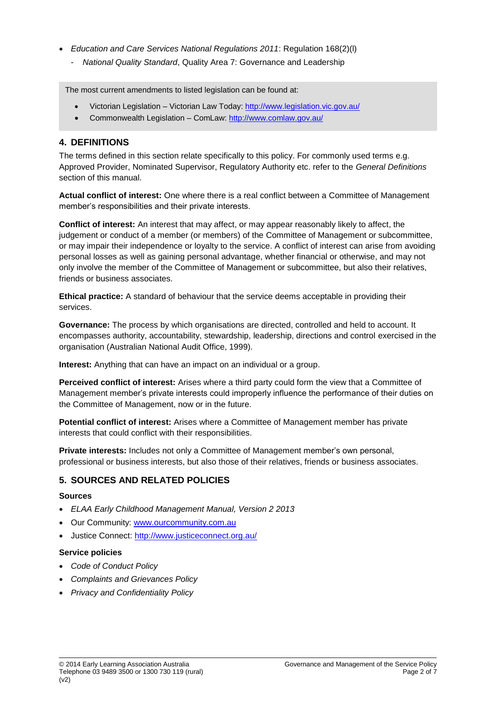- *Education and Care Services National Regulations 2011*: Regulation 168(2)(l)
	- *National Quality Standard*, Quality Area 7: Governance and Leadership

The most current amendments to listed legislation can be found at:

- Victorian Legislation Victorian Law Today:<http://www.legislation.vic.gov.au/>
- Commonwealth Legislation ComLaw:<http://www.comlaw.gov.au/>

### **4. DEFINITIONS**

The terms defined in this section relate specifically to this policy. For commonly used terms e.g. Approved Provider, Nominated Supervisor, Regulatory Authority etc. refer to the *General Definitions* section of this manual.

**Actual conflict of interest:** One where there is a real conflict between a Committee of Management member's responsibilities and their private interests.

**Conflict of interest:** An interest that may affect, or may appear reasonably likely to affect, the judgement or conduct of a member (or members) of the Committee of Management or subcommittee, or may impair their independence or loyalty to the service. A conflict of interest can arise from avoiding personal losses as well as gaining personal advantage, whether financial or otherwise, and may not only involve the member of the Committee of Management or subcommittee, but also their relatives, friends or business associates.

**Ethical practice:** A standard of behaviour that the service deems acceptable in providing their services.

**Governance:** The process by which organisations are directed, controlled and held to account. It encompasses authority, accountability, stewardship, leadership, directions and control exercised in the organisation (Australian National Audit Office, 1999).

**Interest:** Anything that can have an impact on an individual or a group.

**Perceived conflict of interest:** Arises where a third party could form the view that a Committee of Management member's private interests could improperly influence the performance of their duties on the Committee of Management, now or in the future.

**Potential conflict of interest:** Arises where a Committee of Management member has private interests that could conflict with their responsibilities.

**Private interests:** Includes not only a Committee of Management member's own personal, professional or business interests, but also those of their relatives, friends or business associates.

### **5. SOURCES AND RELATED POLICIES**

#### **Sources**

- *ELAA Early Childhood Management Manual, Version 2 2013*
- Our Community: [www.ourcommunity.com.au](http://www.ourcommunity.com.au/)
- Justice Connect: <http://www.justiceconnect.org.au/>

#### **Service policies**

- *Code of Conduct Policy*
- *Complaints and Grievances Policy*
- *Privacy and Confidentiality Policy*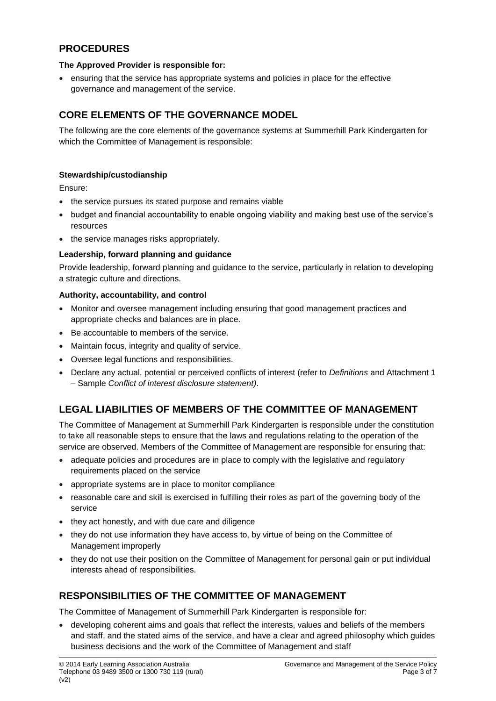# **PROCEDURES**

#### **The Approved Provider is responsible for:**

• ensuring that the service has appropriate systems and policies in place for the effective governance and management of the service.

# **CORE ELEMENTS OF THE GOVERNANCE MODEL**

The following are the core elements of the governance systems at Summerhill Park Kindergarten for which the Committee of Management is responsible:

#### **Stewardship/custodianship**

Ensure:

- the service pursues its stated purpose and remains viable
- budget and financial accountability to enable ongoing viability and making best use of the service's resources
- the service manages risks appropriately.

#### **Leadership, forward planning and guidance**

Provide leadership, forward planning and guidance to the service, particularly in relation to developing a strategic culture and directions.

#### **Authority, accountability, and control**

- Monitor and oversee management including ensuring that good management practices and appropriate checks and balances are in place.
- Be accountable to members of the service.
- Maintain focus, integrity and quality of service.
- Oversee legal functions and responsibilities.
- Declare any actual, potential or perceived conflicts of interest (refer to *Definitions* and Attachment 1 – Sample *Conflict of interest disclosure statement)*.

# **LEGAL LIABILITIES OF MEMBERS OF THE COMMITTEE OF MANAGEMENT**

The Committee of Management at Summerhill Park Kindergarten is responsible under the constitution to take all reasonable steps to ensure that the laws and regulations relating to the operation of the service are observed. Members of the Committee of Management are responsible for ensuring that:

- adequate policies and procedures are in place to comply with the legislative and regulatory requirements placed on the service
- appropriate systems are in place to monitor compliance
- reasonable care and skill is exercised in fulfilling their roles as part of the governing body of the service
- they act honestly, and with due care and diligence
- they do not use information they have access to, by virtue of being on the Committee of Management improperly
- they do not use their position on the Committee of Management for personal gain or put individual interests ahead of responsibilities.

### **RESPONSIBILITIES OF THE COMMITTEE OF MANAGEMENT**

The Committee of Management of Summerhill Park Kindergarten is responsible for:

• developing coherent aims and goals that reflect the interests, values and beliefs of the members and staff, and the stated aims of the service, and have a clear and agreed philosophy which guides business decisions and the work of the Committee of Management and staff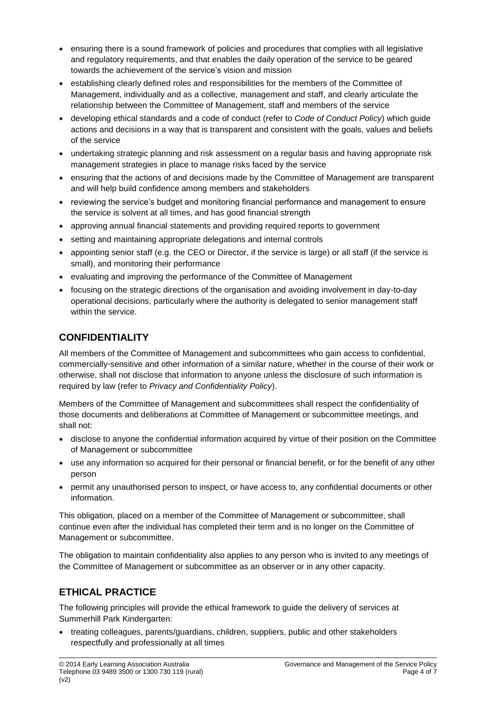- ensuring there is a sound framework of policies and procedures that complies with all legislative and regulatory requirements, and that enables the daily operation of the service to be geared towards the achievement of the service's vision and mission
- establishing clearly defined roles and responsibilities for the members of the Committee of Management, individually and as a collective, management and staff, and clearly articulate the relationship between the Committee of Management, staff and members of the service
- developing ethical standards and a code of conduct (refer to *Code of Conduct Policy*) which guide actions and decisions in a way that is transparent and consistent with the goals, values and beliefs of the service
- undertaking strategic planning and risk assessment on a regular basis and having appropriate risk management strategies in place to manage risks faced by the service
- ensuring that the actions of and decisions made by the Committee of Management are transparent and will help build confidence among members and stakeholders
- reviewing the service's budget and monitoring financial performance and management to ensure the service is solvent at all times, and has good financial strength
- approving annual financial statements and providing required reports to government
- setting and maintaining appropriate delegations and internal controls
- appointing senior staff (e.g. the CEO or Director, if the service is large) or all staff (if the service is small), and monitoring their performance
- evaluating and improving the performance of the Committee of Management
- focusing on the strategic directions of the organisation and avoiding involvement in day-to-day operational decisions, particularly where the authority is delegated to senior management staff within the service.

# **CONFIDENTIALITY**

All members of the Committee of Management and subcommittees who gain access to confidential, commercially-sensitive and other information of a similar nature, whether in the course of their work or otherwise, shall not disclose that information to anyone unless the disclosure of such information is required by law (refer to *Privacy and Confidentiality Policy*).

Members of the Committee of Management and subcommittees shall respect the confidentiality of those documents and deliberations at Committee of Management or subcommittee meetings, and shall not:

- disclose to anyone the confidential information acquired by virtue of their position on the Committee of Management or subcommittee
- use any information so acquired for their personal or financial benefit, or for the benefit of any other person
- permit any unauthorised person to inspect, or have access to, any confidential documents or other information.

This obligation, placed on a member of the Committee of Management or subcommittee, shall continue even after the individual has completed their term and is no longer on the Committee of Management or subcommittee.

The obligation to maintain confidentiality also applies to any person who is invited to any meetings of the Committee of Management or subcommittee as an observer or in any other capacity.

# **ETHICAL PRACTICE**

The following principles will provide the ethical framework to guide the delivery of services at Summerhill Park Kindergarten:

• treating colleagues, parents/guardians, children, suppliers, public and other stakeholders respectfully and professionally at all times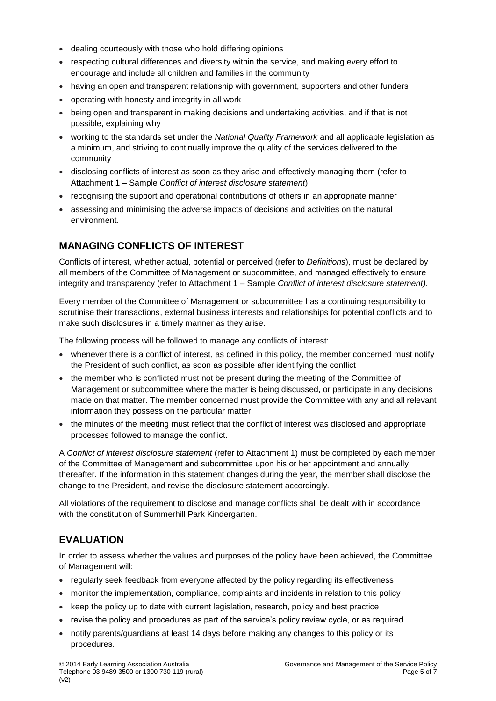- dealing courteously with those who hold differing opinions
- respecting cultural differences and diversity within the service, and making every effort to encourage and include all children and families in the community
- having an open and transparent relationship with government, supporters and other funders
- operating with honesty and integrity in all work
- being open and transparent in making decisions and undertaking activities, and if that is not possible, explaining why
- working to the standards set under the *National Quality Framework* and all applicable legislation as a minimum, and striving to continually improve the quality of the services delivered to the community
- disclosing conflicts of interest as soon as they arise and effectively managing them (refer to Attachment 1 – Sample *Conflict of interest disclosure statement*)
- recognising the support and operational contributions of others in an appropriate manner
- assessing and minimising the adverse impacts of decisions and activities on the natural environment.

# **MANAGING CONFLICTS OF INTEREST**

Conflicts of interest, whether actual, potential or perceived (refer to *Definitions*), must be declared by all members of the Committee of Management or subcommittee, and managed effectively to ensure integrity and transparency (refer to Attachment 1 – Sample *Conflict of interest disclosure statement)*.

Every member of the Committee of Management or subcommittee has a continuing responsibility to scrutinise their transactions, external business interests and relationships for potential conflicts and to make such disclosures in a timely manner as they arise.

The following process will be followed to manage any conflicts of interest:

- whenever there is a conflict of interest, as defined in this policy, the member concerned must notify the President of such conflict, as soon as possible after identifying the conflict
- the member who is conflicted must not be present during the meeting of the Committee of Management or subcommittee where the matter is being discussed, or participate in any decisions made on that matter. The member concerned must provide the Committee with any and all relevant information they possess on the particular matter
- the minutes of the meeting must reflect that the conflict of interest was disclosed and appropriate processes followed to manage the conflict.

A *Conflict of interest disclosure statement* (refer to Attachment 1) must be completed by each member of the Committee of Management and subcommittee upon his or her appointment and annually thereafter. If the information in this statement changes during the year, the member shall disclose the change to the President, and revise the disclosure statement accordingly.

All violations of the requirement to disclose and manage conflicts shall be dealt with in accordance with the constitution of Summerhill Park Kindergarten.

# **EVALUATION**

In order to assess whether the values and purposes of the policy have been achieved, the Committee of Management will:

- regularly seek feedback from everyone affected by the policy regarding its effectiveness
- monitor the implementation, compliance, complaints and incidents in relation to this policy
- keep the policy up to date with current legislation, research, policy and best practice
- revise the policy and procedures as part of the service's policy review cycle, or as required
- notify parents/guardians at least 14 days before making any changes to this policy or its procedures.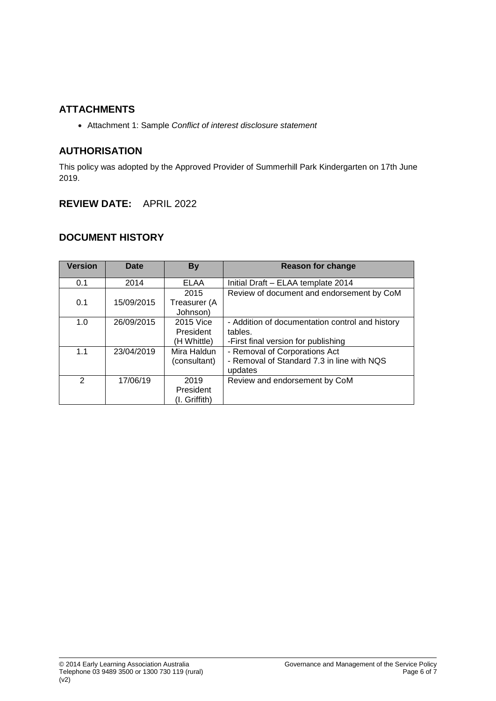## **ATTACHMENTS**

• Attachment 1: Sample *Conflict of interest disclosure statement*

## **AUTHORISATION**

This policy was adopted by the Approved Provider of Summerhill Park Kindergarten on 17th June 2019.

## **REVIEW DATE:** APRIL 2022

# **DOCUMENT HISTORY**

| <b>Version</b> | <b>Date</b> | <b>By</b>     | Reason for change                               |
|----------------|-------------|---------------|-------------------------------------------------|
| 0.1            | 2014        | <b>ELAA</b>   | Initial Draft - ELAA template 2014              |
|                |             | 2015          | Review of document and endorsement by CoM       |
| 0.1            | 15/09/2015  | Treasurer (A  |                                                 |
|                |             | Johnson)      |                                                 |
| 1.0            | 26/09/2015  | 2015 Vice     | - Addition of documentation control and history |
|                |             | President     | tables.                                         |
|                |             | (H Whittle)   | -First final version for publishing             |
| 1.1            | 23/04/2019  | Mira Haldun   | - Removal of Corporations Act                   |
|                |             | (consultant)  | - Removal of Standard 7.3 in line with NQS      |
|                |             |               | updates                                         |
| $\mathcal{P}$  | 17/06/19    | 2019          | Review and endorsement by CoM                   |
|                |             | President     |                                                 |
|                |             | (I. Griffith) |                                                 |